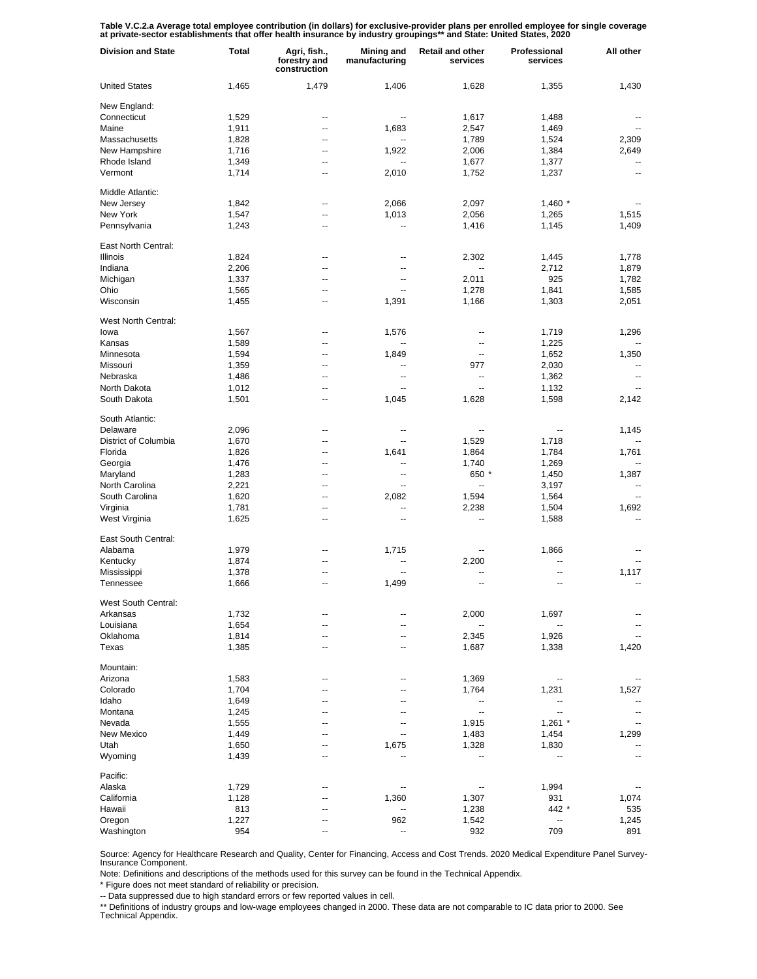Table V.C.2.a Average total employee contribution (in dollars) for exclusive-provider plans per enrolled employee for single coverage<br>at private-sector establishments that offer health insurance by industry groupings\*\* and

| <b>Division and State</b> | Total | Agri, fish.,<br>forestry and<br>construction | Mining and<br>manufacturing | <b>Retail and other</b><br>services | Professional<br>services | All other      |
|---------------------------|-------|----------------------------------------------|-----------------------------|-------------------------------------|--------------------------|----------------|
| <b>United States</b>      | 1,465 | 1,479                                        | 1,406                       | 1,628                               | 1,355                    | 1,430          |
| New England:              |       |                                              |                             |                                     |                          |                |
| Connecticut               | 1,529 | --                                           | --                          | 1,617                               | 1,488                    |                |
| Maine                     | 1,911 | --                                           | 1,683                       | 2,547                               | 1,469                    |                |
| Massachusetts             | 1,828 | --                                           | $\overline{\phantom{a}}$    | 1,789                               | 1,524                    | 2,309          |
| New Hampshire             | 1,716 | --                                           | 1,922                       |                                     |                          | 2,649          |
|                           |       |                                              |                             | 2,006                               | 1,384                    |                |
| Rhode Island              | 1,349 | $\overline{a}$                               | $\overline{\phantom{a}}$    | 1,677                               | 1,377                    | --             |
| Vermont                   | 1,714 | --                                           | 2,010                       | 1,752                               | 1,237                    | ۰.             |
| Middle Atlantic:          |       |                                              |                             |                                     |                          |                |
| New Jersey                | 1,842 | --                                           | 2,066                       | 2,097                               | $1,460$ *                |                |
| New York                  | 1,547 | --                                           | 1,013                       | 2,056                               | 1,265                    | 1,515          |
| Pennsylvania              | 1,243 | --                                           | --                          | 1,416                               | 1,145                    | 1,409          |
|                           |       |                                              |                             |                                     |                          |                |
| East North Central:       |       |                                              |                             |                                     |                          |                |
| <b>Illinois</b>           | 1,824 | --                                           | --                          | 2,302                               | 1,445                    | 1,778          |
| Indiana                   | 2,206 | --                                           | --                          | $\overline{\phantom{a}}$            | 2,712                    | 1,879          |
| Michigan                  | 1,337 | --                                           | --                          | 2,011                               | 925                      | 1,782          |
| Ohio                      | 1,565 | --                                           | --                          | 1,278                               | 1,841                    | 1,585          |
| Wisconsin                 | 1,455 | --                                           | 1,391                       | 1,166                               | 1,303                    | 2,051          |
|                           |       |                                              |                             |                                     |                          |                |
| West North Central:       |       |                                              |                             |                                     |                          |                |
| lowa                      | 1,567 | --                                           | 1,576                       | --                                  | 1,719                    | 1,296          |
| Kansas                    | 1,589 | --                                           | --                          | --                                  | 1,225                    |                |
| Minnesota                 | 1,594 | --                                           | 1,849                       | --                                  | 1,652                    | 1,350          |
| Missouri                  | 1,359 | --                                           | --                          | 977                                 | 2,030                    | --             |
| Nebraska                  | 1,486 | $\overline{a}$                               | --                          | --                                  | 1,362                    | $\overline{a}$ |
| North Dakota              | 1,012 | --                                           | $\overline{\phantom{a}}$    | $\overline{\phantom{a}}$            | 1,132                    | --             |
| South Dakota              | 1,501 | $\overline{a}$                               | 1,045                       | 1,628                               | 1,598                    | 2,142          |
| South Atlantic:           |       |                                              |                             |                                     |                          |                |
| Delaware                  | 2,096 | --                                           | --                          | --                                  | ۰.                       | 1,145          |
| District of Columbia      | 1,670 | --                                           | $\overline{a}$              | 1,529                               | 1,718                    |                |
| Florida                   | 1,826 | --                                           | 1,641                       | 1,864                               | 1,784                    | 1,761          |
|                           |       | --                                           | --                          |                                     |                          |                |
| Georgia                   | 1,476 |                                              |                             | 1,740                               | 1,269                    |                |
| Maryland                  | 1,283 | $\overline{a}$                               | $\overline{a}$              | 650 *                               | 1,450                    | 1,387          |
| North Carolina            | 2,221 | --                                           | Щ,                          | -−                                  | 3,197                    | $\overline{a}$ |
| South Carolina            | 1,620 | $\overline{a}$                               | 2,082                       | 1,594                               | 1,564                    | $\overline{a}$ |
| Virginia                  | 1,781 | --                                           | ٠.                          | 2,238                               | 1,504                    | 1,692          |
| West Virginia             | 1,625 | --                                           | --                          | --                                  | 1,588                    | $\overline{a}$ |
| East South Central:       |       |                                              |                             |                                     |                          |                |
| Alabama                   | 1,979 | --                                           | 1,715                       |                                     | 1,866                    |                |
| Kentucky                  | 1,874 | --                                           |                             | 2,200                               | --                       |                |
| Mississippi               | 1,378 | --                                           |                             |                                     | --                       | 1,117          |
| Tennessee                 | 1,666 | --                                           | 1,499                       | --                                  | --                       | --             |
|                           |       |                                              |                             |                                     |                          |                |
| West South Central:       |       |                                              |                             |                                     |                          |                |
| Arkansas                  | 1,732 |                                              |                             | 2,000                               | 1,697                    |                |
| Louisiana                 | 1,654 | --                                           | $\overline{a}$              |                                     |                          |                |
| Oklahoma                  | 1,814 | --                                           | --                          | 2,345                               | 1,926                    |                |
| Texas                     | 1,385 | --                                           | ⊷                           | 1,687                               | 1,338                    | 1,420          |
|                           |       |                                              |                             |                                     |                          |                |
| Mountain:                 |       |                                              |                             |                                     |                          |                |
| Arizona                   | 1,583 | --                                           |                             | 1,369                               | ۰.                       |                |
| Colorado                  | 1,704 | --                                           |                             | 1,764                               | 1,231                    | 1,527          |
| Idaho                     | 1,649 |                                              |                             | $\qquad \qquad \cdots$              | --                       |                |
| Montana                   | 1,245 | --                                           |                             | $\overline{\phantom{a}}$            | $\overline{\phantom{a}}$ |                |
| Nevada                    | 1,555 |                                              |                             | 1,915                               | $1,261$ *                |                |
| New Mexico                | 1,449 | --                                           | $\overline{a}$              | 1,483                               | 1,454                    | 1,299          |
| Utah                      | 1,650 |                                              | 1,675                       | 1,328                               | 1,830                    |                |
| Wyoming                   | 1,439 | --                                           |                             | Ξ.                                  | --                       | $-$            |
| Pacific:                  |       |                                              |                             |                                     |                          |                |
| Alaska                    |       |                                              |                             |                                     |                          |                |
|                           | 1,729 |                                              |                             |                                     | 1,994                    |                |
| California                | 1,128 | --                                           | 1,360                       | 1,307                               | 931                      | 1,074          |
| Hawaii                    | 813   | --                                           | --                          | 1,238                               | 442 *                    | 535            |
| Oregon                    | 1,227 | --                                           | 962                         | 1,542                               | --                       | 1,245          |
| Washington                | 954   | --                                           | −−                          | 932                                 | 709                      | 891            |

Source: Agency for Healthcare Research and Quality, Center for Financing, Access and Cost Trends. 2020 Medical Expenditure Panel Survey-Insurance Component.

Note: Definitions and descriptions of the methods used for this survey can be found in the Technical Appendix.

\* Figure does not meet standard of reliability or precision.

-- Data suppressed due to high standard errors or few reported values in cell.

\*\* Definitions of industry groups and low-wage employees changed in 2000. These data are not comparable to IC data prior to 2000. See Technical Appendix.